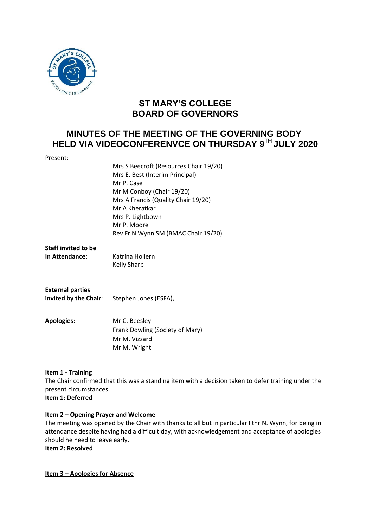

# **ST MARY'S COLLEGE BOARD OF GOVERNORS**

## **MINUTES OF THE MEETING OF THE GOVERNING BODY HELD VIA VIDEOCONFERENVCE ON THURSDAY 9 TH JULY 2020**

| Present:                                           |                                        |
|----------------------------------------------------|----------------------------------------|
|                                                    | Mrs S Beecroft (Resources Chair 19/20) |
|                                                    | Mrs E. Best (Interim Principal)        |
|                                                    | Mr P. Case                             |
|                                                    | Mr M Conboy (Chair 19/20)              |
|                                                    | Mrs A Francis (Quality Chair 19/20)    |
|                                                    | Mr A Kheratkar                         |
|                                                    | Mrs P. Lightbown                       |
|                                                    | Mr P. Moore                            |
|                                                    |                                        |
|                                                    | Rev Fr N Wynn SM (BMAC Chair 19/20)    |
| <b>Staff invited to be</b>                         |                                        |
| In Attendance:                                     | Katrina Hollern                        |
|                                                    |                                        |
|                                                    | <b>Kelly Sharp</b>                     |
|                                                    |                                        |
|                                                    |                                        |
| <b>External parties</b>                            |                                        |
| <b>invited by the Chair:</b> Stephen Jones (ESFA), |                                        |
|                                                    |                                        |
| <b>Apologies:</b>                                  | Mr C. Beesley                          |
|                                                    |                                        |
|                                                    | Frank Dowling (Society of Mary)        |
|                                                    | Mr M. Vizzard                          |
|                                                    | Mr M. Wright                           |
|                                                    |                                        |

## **Item 1 - Training**

The Chair confirmed that this was a standing item with a decision taken to defer training under the present circumstances.

**Item 1: Deferred**

#### **Item 2 – Opening Prayer and Welcome**

The meeting was opened by the Chair with thanks to all but in particular Fthr N. Wynn, for being in attendance despite having had a difficult day, with acknowledgement and acceptance of apologies should he need to leave early.

**Item 2: Resolved**

**Item 3 – Apologies for Absence**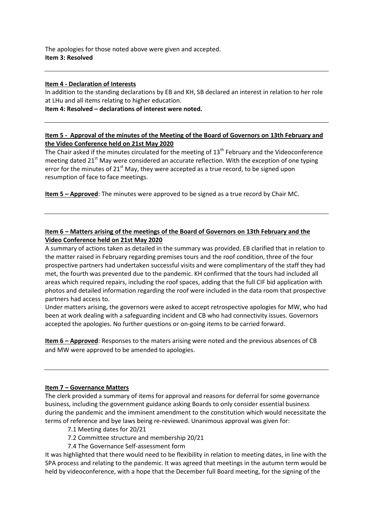The apologies for those noted above were given and accepted. **Item 3: Resolved**

#### **Item 4 - Declaration of Interests**

In addition to the standing declarations by EB and KH, SB declared an interest in relation to her role at LHu and all items relating to higher education.

**Item 4: Resolved – declarations of interest were noted.**

## **Item 5 - Approval of the minutes of the Meeting of the Board of Governors on 13th February and the Video Conference held on 21st May 2020**

The Chair asked if the minutes circulated for the meeting of 13<sup>th</sup> February and the Videoconference meeting dated 21<sup>st</sup> May were considered an accurate reflection. With the exception of one typing error for the minutes of  $21<sup>st</sup>$  May, they were accepted as a true record, to be signed upon resumption of face to face meetings.

**Item 5 – Approved**: The minutes were approved to be signed as a true record by Chair MC.

## **Item 6 – Matters arising of the meetings of the Board of Governors on 13th February and the Video Conference held on 21st May 2020**

A summary of actions taken as detailed in the summary was provided. EB clarified that in relation to the matter raised in February regarding premises tours and the roof condition, three of the four prospective partners had undertaken successful visits and were complimentary of the staff they had met, the fourth was prevented due to the pandemic. KH confirmed that the tours had included all areas which required repairs, including the roof spaces, adding that the full CIF bid application with photos and detailed information regarding the roof were included in the data room that prospective partners had access to.

Under matters arising, the governors were asked to accept retrospective apologies for MW, who had been at work dealing with a safeguarding incident and CB who had connectivity issues. Governors accepted the apologies. No further questions or on-going items to be carried forward.

**Item 6 – Approved**: Responses to the maters arising were noted and the previous absences of CB and MW were approved to be amended to apologies.

#### **Item 7 – Governance Matters**

The clerk provided a summary of items for approval and reasons for deferral for some governance business, including the government guidance asking Boards to only consider essential business during the pandemic and the imminent amendment to the constitution which would necessitate the terms of reference and bye laws being re-reviewed. Unanimous approval was given for:

- 7.1 Meeting dates for 20/21
- 7.2 Committee structure and membership 20/21
- 7.4 The Governance Self-assessment form

It was highlighted that there would need to be flexibility in relation to meeting dates, in line with the SPA process and relating to the pandemic. It was agreed that meetings in the autumn term would be held by videoconference, with a hope that the December full Board meeting, for the signing of the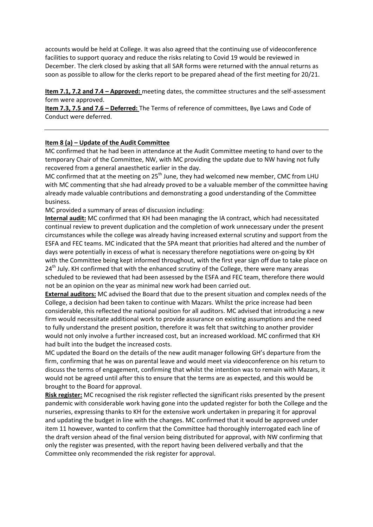accounts would be held at College. It was also agreed that the continuing use of videoconference facilities to support quoracy and reduce the risks relating to Covid 19 would be reviewed in December. The clerk closed by asking that all SAR forms were returned with the annual returns as soon as possible to allow for the clerks report to be prepared ahead of the first meeting for 20/21.

**Item 7.1, 7.2 and 7.4 – Approved:** meeting dates, the committee structures and the self-assessment form were approved.

**Item 7.3, 7.5 and 7.6 – Deferred:** The Terms of reference of committees, Bye Laws and Code of Conduct were deferred.

#### **Item 8 (a) – Update of the Audit Committee**

MC confirmed that he had been in attendance at the Audit Committee meeting to hand over to the temporary Chair of the Committee, NW, with MC providing the update due to NW having not fully recovered from a general anaesthetic earlier in the day.

MC confirmed that at the meeting on  $25<sup>th</sup>$  June, they had welcomed new member, CMC from LHU with MC commenting that she had already proved to be a valuable member of the committee having already made valuable contributions and demonstrating a good understanding of the Committee business.

MC provided a summary of areas of discussion including:

**Internal audit:** MC confirmed that KH had been managing the IA contract, which had necessitated continual review to prevent duplication and the completion of work unnecessary under the present circumstances while the college was already having increased external scrutiny and support from the ESFA and FEC teams. MC indicated that the SPA meant that priorities had altered and the number of days were potentially in excess of what is necessary therefore negotiations were on-going by KH with the Committee being kept informed throughout, with the first year sign off due to take place on 24<sup>th</sup> July. KH confirmed that with the enhanced scrutiny of the College, there were many areas scheduled to be reviewed that had been assessed by the ESFA and FEC team, therefore there would not be an opinion on the year as minimal new work had been carried out.

**External auditors:** MC advised the Board that due to the present situation and complex needs of the College, a decision had been taken to continue with Mazars. Whilst the price increase had been considerable, this reflected the national position for all auditors. MC advised that introducing a new firm would necessitate additional work to provide assurance on existing assumptions and the need to fully understand the present position, therefore it was felt that switching to another provider would not only involve a further increased cost, but an increased workload. MC confirmed that KH had built into the budget the increased costs.

MC updated the Board on the details of the new audit manager following GH's departure from the firm, confirming that he was on parental leave and would meet via videoconference on his return to discuss the terms of engagement, confirming that whilst the intention was to remain with Mazars, it would not be agreed until after this to ensure that the terms are as expected, and this would be brought to the Board for approval.

**Risk register:** MC recognised the risk register reflected the significant risks presented by the present pandemic with considerable work having gone into the updated register for both the College and the nurseries, expressing thanks to KH for the extensive work undertaken in preparing it for approval and updating the budget in line with the changes. MC confirmed that it would be approved under item 11 however, wanted to confirm that the Committee had thoroughly interrogated each line of the draft version ahead of the final version being distributed for approval, with NW confirming that only the register was presented, with the report having been delivered verbally and that the Committee only recommended the risk register for approval.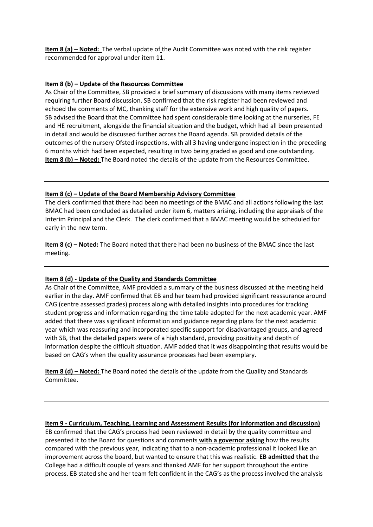**Item 8 (a) – Noted:** The verbal update of the Audit Committee was noted with the risk register recommended for approval under item 11.

#### **Item 8 (b) – Update of the Resources Committee**

As Chair of the Committee, SB provided a brief summary of discussions with many items reviewed requiring further Board discussion. SB confirmed that the risk register had been reviewed and echoed the comments of MC, thanking staff for the extensive work and high quality of papers. SB advised the Board that the Committee had spent considerable time looking at the nurseries, FE and HE recruitment, alongside the financial situation and the budget, which had all been presented in detail and would be discussed further across the Board agenda. SB provided details of the outcomes of the nursery Ofsted inspections, with all 3 having undergone inspection in the preceding 6 months which had been expected, resulting in two being graded as good and one outstanding. **Item 8 (b) – Noted:** The Board noted the details of the update from the Resources Committee.

### **Item 8 (c) – Update of the Board Membership Advisory Committee**

The clerk confirmed that there had been no meetings of the BMAC and all actions following the last BMAC had been concluded as detailed under item 6, matters arising, including the appraisals of the Interim Principal and the Clerk. The clerk confirmed that a BMAC meeting would be scheduled for early in the new term.

**Item 8 (c) – Noted:** The Board noted that there had been no business of the BMAC since the last meeting.

#### **Item 8 (d) - Update of the Quality and Standards Committee**

As Chair of the Committee, AMF provided a summary of the business discussed at the meeting held earlier in the day. AMF confirmed that EB and her team had provided significant reassurance around CAG (centre assessed grades) process along with detailed insights into procedures for tracking student progress and information regarding the time table adopted for the next academic year. AMF added that there was significant information and guidance regarding plans for the next academic year which was reassuring and incorporated specific support for disadvantaged groups, and agreed with SB, that the detailed papers were of a high standard, providing positivity and depth of information despite the difficult situation. AMF added that it was disappointing that results would be based on CAG's when the quality assurance processes had been exemplary.

**Item 8 (d) – Noted:** The Board noted the details of the update from the Quality and Standards Committee.

#### **Item 9 - Curriculum, Teaching, Learning and Assessment Results (for information and discussion)**

EB confirmed that the CAG's process had been reviewed in detail by the quality committee and presented it to the Board for questions and comments **with a governor asking** how the results compared with the previous year, indicating that to a non-academic professional it looked like an improvement across the board, but wanted to ensure that this was realistic. **EB admitted that** the College had a difficult couple of years and thanked AMF for her support throughout the entire process. EB stated she and her team felt confident in the CAG's as the process involved the analysis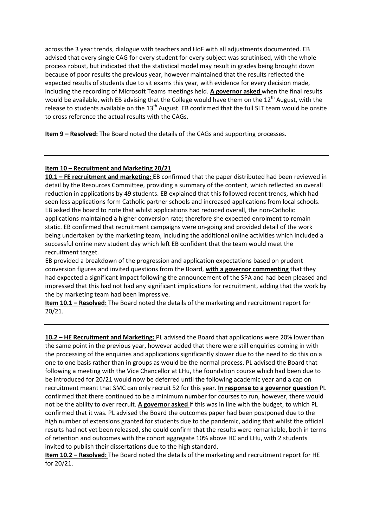across the 3 year trends, dialogue with teachers and HoF with all adjustments documented. EB advised that every single CAG for every student for every subject was scrutinised, with the whole process robust, but indicated that the statistical model may result in grades being brought down because of poor results the previous year, however maintained that the results reflected the expected results of students due to sit exams this year, with evidence for every decision made, including the recording of Microsoft Teams meetings held. **A governor asked** when the final results would be available, with EB advising that the College would have them on the  $12^{th}$  August, with the release to students available on the 13<sup>th</sup> August. EB confirmed that the full SLT team would be onsite to cross reference the actual results with the CAGs.

**Item 9 – Resolved:** The Board noted the details of the CAGs and supporting processes.

### **Item 10 – Recruitment and Marketing 20/21**

**10.1 – FE recruitment and marketing:** EB confirmed that the paper distributed had been reviewed in detail by the Resources Committee, providing a summary of the content, which reflected an overall reduction in applications by 49 students. EB explained that this followed recent trends, which had seen less applications form Catholic partner schools and increased applications from local schools. EB asked the board to note that whilst applications had reduced overall, the non-Catholic applications maintained a higher conversion rate; therefore she expected enrolment to remain static. EB confirmed that recruitment campaigns were on-going and provided detail of the work being undertaken by the marketing team, including the additional online activities which included a successful online new student day which left EB confident that the team would meet the recruitment target.

EB provided a breakdown of the progression and application expectations based on prudent conversion figures and invited questions from the Board, **with a governor commenting** that they had expected a significant impact following the announcement of the SPA and had been pleased and impressed that this had not had any significant implications for recruitment, adding that the work by the by marketing team had been impressive.

**Item 10.1 – Resolved:** The Board noted the details of the marketing and recruitment report for 20/21.

**10.2 – HE Recruitment and Marketing:** PL advised the Board that applications were 20% lower than the same point in the previous year, however added that there were still enquiries coming in with the processing of the enquiries and applications significantly slower due to the need to do this on a one to one basis rather than in groups as would be the normal process. PL advised the Board that following a meeting with the Vice Chancellor at LHu, the foundation course which had been due to be introduced for 20/21 would now be deferred until the following academic year and a cap on recruitment meant that SMC can only recruit 52 for this year. **In response to a governor question** PL confirmed that there continued to be a minimum number for courses to run, however, there would not be the ability to over recruit. **A governor asked** if this was in line with the budget, to which PL confirmed that it was. PL advised the Board the outcomes paper had been postponed due to the high number of extensions granted for students due to the pandemic, adding that whilst the official results had not yet been released, she could confirm that the results were remarkable, both in terms of retention and outcomes with the cohort aggregate 10% above HC and LHu, with 2 students invited to publish their dissertations due to the high standard.

**Item 10.2 – Resolved:** The Board noted the details of the marketing and recruitment report for HE for 20/21.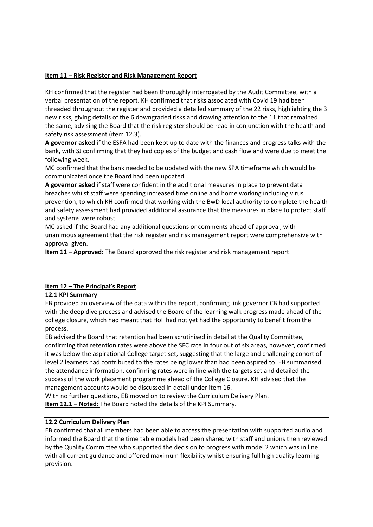#### **Item 11 – Risk Register and Risk Management Report**

KH confirmed that the register had been thoroughly interrogated by the Audit Committee, with a verbal presentation of the report. KH confirmed that risks associated with Covid 19 had been threaded throughout the register and provided a detailed summary of the 22 risks, highlighting the 3 new risks, giving details of the 6 downgraded risks and drawing attention to the 11 that remained the same, advising the Board that the risk register should be read in conjunction with the health and safety risk assessment (item 12.3).

**A governor asked** if the ESFA had been kept up to date with the finances and progress talks with the bank, with SJ confirming that they had copies of the budget and cash flow and were due to meet the following week.

MC confirmed that the bank needed to be updated with the new SPA timeframe which would be communicated once the Board had been updated.

**A governor asked** if staff were confident in the additional measures in place to prevent data breaches whilst staff were spending increased time online and home working including virus prevention, to which KH confirmed that working with the BwD local authority to complete the health and safety assessment had provided additional assurance that the measures in place to protect staff and systems were robust.

MC asked if the Board had any additional questions or comments ahead of approval, with unanimous agreement that the risk register and risk management report were comprehensive with approval given.

**Item 11 – Approved:** The Board approved the risk register and risk management report.

## **Item 12 – The Principal's Report**

## **12.1 KPI Summary**

EB provided an overview of the data within the report, confirming link governor CB had supported with the deep dive process and advised the Board of the learning walk progress made ahead of the college closure, which had meant that HoF had not yet had the opportunity to benefit from the process.

EB advised the Board that retention had been scrutinised in detail at the Quality Committee, confirming that retention rates were above the SFC rate in four out of six areas, however, confirmed it was below the aspirational College target set, suggesting that the large and challenging cohort of level 2 learners had contributed to the rates being lower than had been aspired to. EB summarised the attendance information, confirming rates were in line with the targets set and detailed the success of the work placement programme ahead of the College Closure. KH advised that the management accounts would be discussed in detail under item 16.

With no further questions, EB moved on to review the Curriculum Delivery Plan. **Item 12.1 – Noted:** The Board noted the details of the KPI Summary.

#### **12.2 Curriculum Delivery Plan**

EB confirmed that all members had been able to access the presentation with supported audio and informed the Board that the time table models had been shared with staff and unions then reviewed by the Quality Committee who supported the decision to progress with model 2 which was in line with all current guidance and offered maximum flexibility whilst ensuring full high quality learning provision.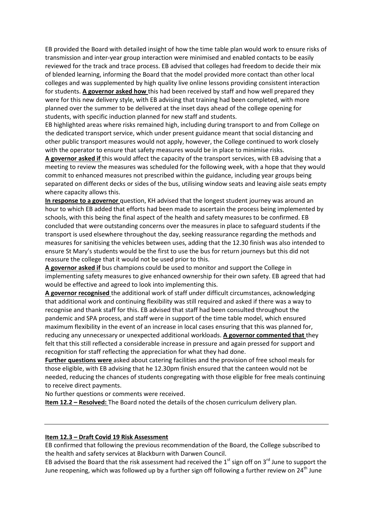EB provided the Board with detailed insight of how the time table plan would work to ensure risks of transmission and inter-year group interaction were minimised and enabled contacts to be easily reviewed for the track and trace process. EB advised that colleges had freedom to decide their mix of blended learning, informing the Board that the model provided more contact than other local colleges and was supplemented by high quality live online lessons providing consistent interaction for students. **A governor asked how** this had been received by staff and how well prepared they were for this new delivery style, with EB advising that training had been completed, with more planned over the summer to be delivered at the inset days ahead of the college opening for students, with specific induction planned for new staff and students.

EB highlighted areas where risks remained high, including during transport to and from College on the dedicated transport service, which under present guidance meant that social distancing and other public transport measures would not apply, however, the College continued to work closely with the operator to ensure that safety measures would be in place to minimise risks.

**A governor asked if** this would affect the capacity of the transport services, with EB advising that a meeting to review the measures was scheduled for the following week, with a hope that they would commit to enhanced measures not prescribed within the guidance, including year groups being separated on different decks or sides of the bus, utilising window seats and leaving aisle seats empty where capacity allows this.

**In response to a governor** question, KH advised that the longest student journey was around an hour to which EB added that efforts had been made to ascertain the process being implemented by schools, with this being the final aspect of the health and safety measures to be confirmed. EB concluded that were outstanding concerns over the measures in place to safeguard students if the transport is used elsewhere throughout the day, seeking reassurance regarding the methods and measures for sanitising the vehicles between uses, adding that the 12.30 finish was also intended to ensure St Mary's students would be the first to use the bus for return journeys but this did not reassure the college that it would not be used prior to this.

**A governor asked if** bus champions could be used to monitor and support the College in implementing safety measures to give enhanced ownership for their own safety. EB agreed that had would be effective and agreed to look into implementing this.

**A governor recognised** the additional work of staff under difficult circumstances, acknowledging that additional work and continuing flexibility was still required and asked if there was a way to recognise and thank staff for this. EB advised that staff had been consulted throughout the pandemic and SPA process, and staff were in support of the time table model, which ensured maximum flexibility in the event of an increase in local cases ensuring that this was planned for, reducing any unnecessary or unexpected additional workloads. **A governor commented that** they felt that this still reflected a considerable increase in pressure and again pressed for support and recognition for staff reflecting the appreciation for what they had done.

**Further questions were** asked about catering facilities and the provision of free school meals for those eligible, with EB advising that he 12.30pm finish ensured that the canteen would not be needed, reducing the chances of students congregating with those eligible for free meals continuing to receive direct payments.

No further questions or comments were received.

**Item 12.2 – Resolved:** The Board noted the details of the chosen curriculum delivery plan.

#### **Item 12.3 – Draft Covid 19 Risk Assessment**

EB confirmed that following the previous recommendation of the Board, the College subscribed to the health and safety services at Blackburn with Darwen Council.

EB advised the Board that the risk assessment had received the  $1<sup>st</sup>$  sign off on  $3<sup>rd</sup>$  June to support the June reopening, which was followed up by a further sign off following a further review on 24<sup>th</sup> June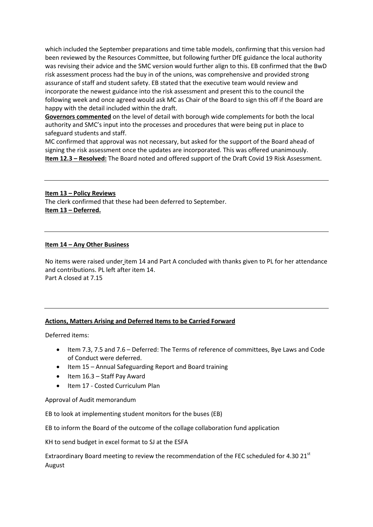which included the September preparations and time table models, confirming that this version had been reviewed by the Resources Committee, but following further DfE guidance the local authority was revising their advice and the SMC version would further align to this. EB confirmed that the BwD risk assessment process had the buy in of the unions, was comprehensive and provided strong assurance of staff and student safety. EB stated that the executive team would review and incorporate the newest guidance into the risk assessment and present this to the council the following week and once agreed would ask MC as Chair of the Board to sign this off if the Board are happy with the detail included within the draft.

**Governors commented** on the level of detail with borough wide complements for both the local authority and SMC's input into the processes and procedures that were being put in place to safeguard students and staff.

MC confirmed that approval was not necessary, but asked for the support of the Board ahead of signing the risk assessment once the updates are incorporated. This was offered unanimously. **Item 12.3 – Resolved:** The Board noted and offered support of the Draft Covid 19 Risk Assessment.

**Item 13 – Policy Reviews**

The clerk confirmed that these had been deferred to September. **Item 13 – Deferred.**

#### **Item 14 – Any Other Business**

No items were raised under item 14 and Part A concluded with thanks given to PL for her attendance and contributions. PL left after item 14. Part A closed at 7.15

#### **Actions, Matters Arising and Deferred Items to be Carried Forward**

Deferred items:

- Item 7.3, 7.5 and 7.6 Deferred: The Terms of reference of committees, Bye Laws and Code of Conduct were deferred.
- Item 15 Annual Safeguarding Report and Board training
- $\bullet$  Item 16.3 Staff Pav Award
- Item 17 Costed Curriculum Plan

Approval of Audit memorandum

EB to look at implementing student monitors for the buses (EB)

EB to inform the Board of the outcome of the collage collaboration fund application

KH to send budget in excel format to SJ at the ESFA

Extraordinary Board meeting to review the recommendation of the FEC scheduled for 4.30  $21^{st}$ August